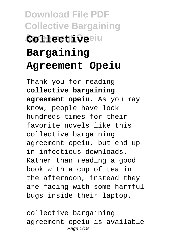# **Download File PDF Collective Bargaining Agreement Opeiu Collective Bargaining Agreement Opeiu**

Thank you for reading **collective bargaining agreement opeiu**. As you may know, people have look hundreds times for their favorite novels like this collective bargaining agreement opeiu, but end up in infectious downloads. Rather than reading a good book with a cup of tea in the afternoon, instead they are facing with some harmful bugs inside their laptop.

collective bargaining agreement opeiu is available Page  $1/19$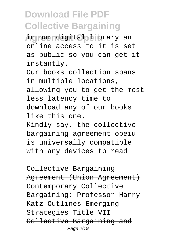in our digital library an online access to it is set as public so you can get it instantly.

Our books collection spans in multiple locations, allowing you to get the most less latency time to download any of our books like this one.

Kindly say, the collective bargaining agreement opeiu is universally compatible with any devices to read

Collective Bargaining Agreement (Union Agreement) Contemporary Collective Bargaining: Professor Harry Katz Outlines Emerging Strategies Title VII Collective Bargaining and Page 2/19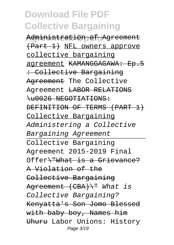Administration of Agreement (Part 1) NFL owners approve collective bargaining agreement KAMANGGAGAWA: Ep.5 : Collective Bargaining Agreement The Collective Agreement LABOR RELATIONS \u0026 NEGOTIATIONS: DEFINITION OF TERMS (PART 1) Collective Bargaining Administering a Collective Bargaining Agreement Collective Bargaining Agreement 2015-2019 Final Offer\"What is a Grievance? A Violation of the Collective Bargaining Agreement (CBA) \" What is Collective Bargaining? Kenyatta's Son Jomo Blessed with baby boy, Names him Uhuru Labor Unions: History Page 3/19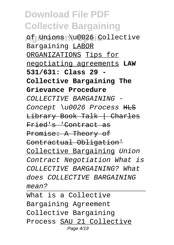**Af Unions \u0026 Collective** Bargaining LABOR ORGANIZATIONS Tips for negotiating agreements **LAW 531/631: Class 29 - Collective Bargaining The Grievance Procedure** COLLECTIVE BARGAINING - Concept \u0026 Process HLS Library Book Talk | Charles Fried's 'Contract as Promise: A Theory of Contractual Obligation' Collective Bargaining Union Contract Negotiation What is COLLECTIVE BARGAINING? What does COLLECTIVE BARGAINING mean?

What is a Collective Bargaining Agreement Collective Bargaining Process SAU 21 Collective Page 4/19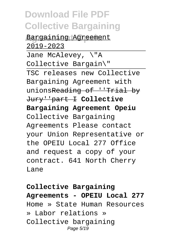**Bargaining Agreement** 2019-2023 Jane McAlevey, \"A Collective Bargain\" TSC releases new Collective Bargaining Agreement with unionsReading of ''Trial by Jury''part I **Collective Bargaining Agreement Opeiu** Collective Bargaining Agreements Please contact your Union Representative or the OPEIU Local 277 Office and request a copy of your contract. 641 North Cherry **Lane** 

**Collective Bargaining Agreements - OPEIU Local 277** Home » State Human Resources » Labor relations » Collective bargaining Page 5/19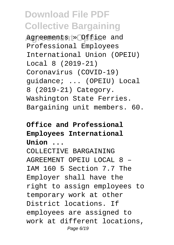**Agreements » Office and** Professional Employees International Union (OPEIU) Local 8 (2019-21) Coronavirus (COVID-19) guidance; ... (OPEIU) Local 8 (2019-21) Category. Washington State Ferries. Bargaining unit members. 60.

### **Office and Professional Employees International Union ...**

COLLECTIVE BARGAINING AGREEMENT OPEIU LOCAL 8 – IAM 160 5 Section 7.7 The Employer shall have the right to assign employees to temporary work at other District locations. If employees are assigned to work at different locations, Page 6/19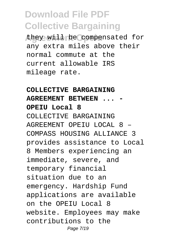they will be compensated for any extra miles above their normal commute at the current allowable IRS mileage rate.

### **COLLECTIVE BARGAINING AGREEMENT BETWEEN ... - OPEIU Local 8** COLLECTIVE BARGAINING AGREEMENT OPEIU LOCAL 8 – COMPASS HOUSING ALLIANCE 3 provides assistance to Local 8 Members experiencing an immediate, severe, and temporary financial situation due to an emergency. Hardship Fund applications are available on the OPEIU Local 8 website. Employees may make contributions to the Page 7/19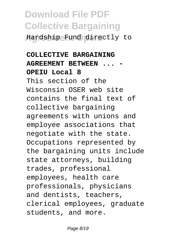**Agreement Opeiu** Hardship Fund directly to

### **COLLECTIVE BARGAINING AGREEMENT BETWEEN ... - OPEIU Local 8** This section of the Wisconsin OSER web site contains the final text of collective bargaining agreements with unions and employee associations that negotiate with the state. Occupations represented by the bargaining units include state attorneys, building trades, professional employees, health care professionals, physicians and dentists, teachers, clerical employees, graduate students, and more.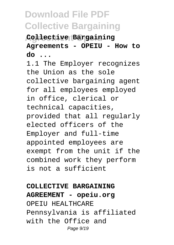### **Agreement Opeiu Collective Bargaining Agreements - OPEIU - How to do ...**

1.1 The Employer recognizes the Union as the sole collective bargaining agent for all employees employed in office, clerical or technical capacities, provided that all regularly elected officers of the Employer and full-time appointed employees are exempt from the unit if the combined work they perform is not a sufficient

#### **COLLECTIVE BARGAINING**

**AGREEMENT - opeiu.org** OPEIU HEALTHCARE Pennsylvania is affiliated with the Office and Page 9/19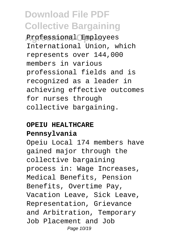**Agreement Opeiu** Professional Employees International Union, which represents over 144,000 members in various professional fields and is recognized as a leader in achieving effective outcomes for nurses through collective bargaining.

#### **OPEIU HEALTHCARE**

#### **Pennsylvania**

Opeiu Local 174 members have gained major through the collective bargaining process in: Wage Increases, Medical Benefits, Pension Benefits, Overtime Pay, Vacation Leave, Sick Leave, Representation, Grievance and Arbitration, Temporary Job Placement and Job Page 10/19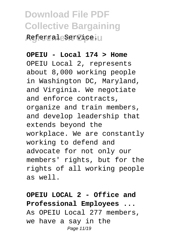### **Download File PDF Collective Bargaining** Referral Service.

#### **OPEIU - Local 174 > Home**

OPEIU Local 2, represents about 8,000 working people in Washington DC, Maryland, and Virginia. We negotiate and enforce contracts, organize and train members, and develop leadership that extends beyond the workplace. We are constantly working to defend and advocate for not only our members' rights, but for the rights of all working people as well.

### **OPEIU LOCAL 2 - Office and Professional Employees ...** As OPEIU Local 277 members, we have a say in the Page 11/19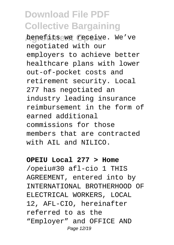benefits we receive. We've negotiated with our employers to achieve better healthcare plans with lower out-of-pocket costs and retirement security. Local 277 has negotiated an industry leading insurance reimbursement in the form of earned additional commissions for those members that are contracted with AIL and NILICO.

#### **OPEIU Local 277 > Home**

/opeiu#30 afl-cio 1 THIS AGREEMENT, entered into by INTERNATIONAL BROTHERHOOD OF ELECTRICAL WORKERS, LOCAL 12, AFL-CIO, hereinafter referred to as the "Employer" and OFFICE AND Page 12/19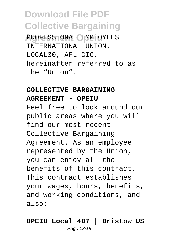**Agreement Opeiu** PROFESSIONAL EMPLOYEES INTERNATIONAL UNION, LOCAL30, AFL-CIO, hereinafter referred to as the "Union".

### **COLLECTIVE BARGAINING**

#### **AGREEMENT - OPEIU**

Feel free to look around our public areas where you will find our most recent Collective Bargaining Agreement. As an employee represented by the Union, you can enjoy all the benefits of this contract. This contract establishes your wages, hours, benefits, and working conditions, and also:

#### **OPEIU Local 407 | Bristow US** Page 13/19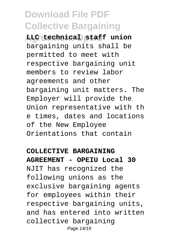**Agreement Opeiu LLC technical staff union** bargaining units shall be permitted to meet with respective bargaining unit members to review labor agreements and other bargaining unit matters. The Employer will provide the Union representative with th e times, dates and locations of the New Employee Orientations that contain

#### **COLLECTIVE BARGAINING**

**AGREEMENT - OPEIU Local 30** NJIT has recognized the following unions as the exclusive bargaining agents for employees within their respective bargaining units, and has entered into written collective bargaining Page 14/19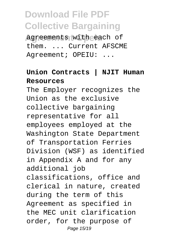agreements with each of them. ... Current AFSCME Agreement; OPEIU: ...

### **Union Contracts | NJIT Human Resources**

The Employer recognizes the Union as the exclusive collective bargaining representative for all employees employed at the Washington State Department of Transportation Ferries Division (WSF) as identified in Appendix A and for any additional job classifications, office and clerical in nature, created during the term of this Agreement as specified in the MEC unit clarification order, for the purpose of Page 15/19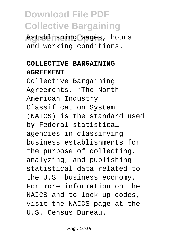**Agreement Operator** establishing wages, hours and working conditions.

#### **COLLECTIVE BARGAINING AGREEMENT**

Collective Bargaining Agreements. \*The North American Industry Classification System (NAICS) is the standard used by Federal statistical agencies in classifying business establishments for the purpose of collecting, analyzing, and publishing statistical data related to the U.S. business economy. For more information on the NAICS and to look up codes, visit the NAICS page at the U.S. Census Bureau.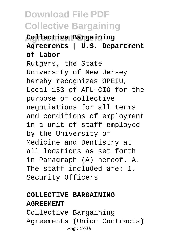### **Agreement Opeiu Collective Bargaining Agreements | U.S. Department of Labor**

Rutgers, the State University of New Jersey hereby recognizes OPEIU, Local 153 of AFL-CIO for the purpose of collective negotiations for all terms and conditions of employment in a unit of staff employed by the University of Medicine and Dentistry at all locations as set forth in Paragraph (A) hereof. A. The staff included are: 1. Security Officers

### **COLLECTIVE BARGAINING AGREEMENT**

Collective Bargaining Agreements (Union Contracts) Page 17/19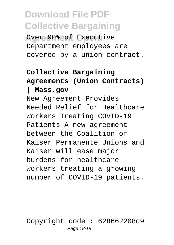**Agreement Opeiu** Over 90% of Executive Department employees are covered by a union contract.

### **Collective Bargaining Agreements (Union Contracts)**

#### **| Mass.gov**

New Agreement Provides Needed Relief for Healthcare Workers Treating COVID-19 Patients A new agreement between the Coalition of Kaiser Permanente Unions and Kaiser will ease major burdens for healthcare workers treating a growing number of COVID-19 patients.

Copyright code : 628662208d9 Page 18/19